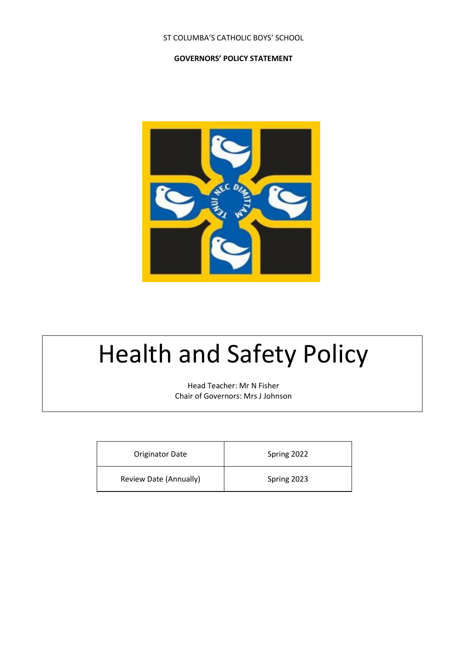# ST COLUMBA'S CATHOLIC BOYS' SCHOOL

## **GOVERNORS' POLICY STATEMENT**



# Health and Safety Policy

Head Teacher: Mr N Fisher Chair of Governors: Mrs J Johnson

| <b>Originator Date</b> | Spring 2022 |
|------------------------|-------------|
| Review Date (Annually) | Spring 2023 |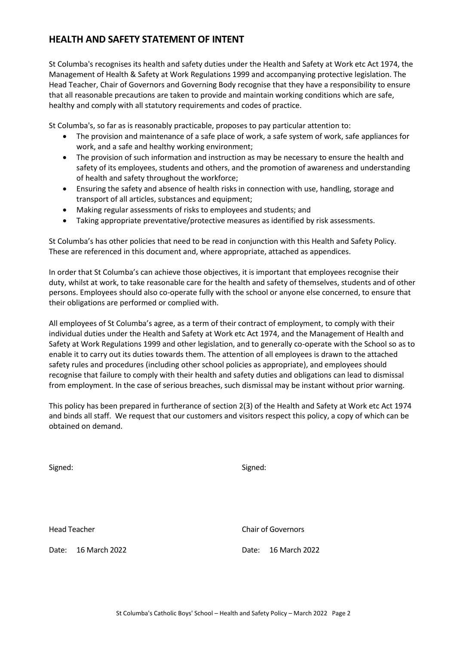# **HEALTH AND SAFETY STATEMENT OF INTENT**

St Columba's recognises its health and safety duties under the Health and Safety at Work etc Act 1974, the Management of Health & Safety at Work Regulations 1999 and accompanying protective legislation. The Head Teacher, Chair of Governors and Governing Body recognise that they have a responsibility to ensure that all reasonable precautions are taken to provide and maintain working conditions which are safe, healthy and comply with all statutory requirements and codes of practice.

St Columba's, so far as is reasonably practicable, proposes to pay particular attention to:

- The provision and maintenance of a safe place of work, a safe system of work, safe appliances for work, and a safe and healthy working environment;
- The provision of such information and instruction as may be necessary to ensure the health and safety of its employees, students and others, and the promotion of awareness and understanding of health and safety throughout the workforce;
- Ensuring the safety and absence of health risks in connection with use, handling, storage and transport of all articles, substances and equipment;
- Making regular assessments of risks to employees and students; and
- Taking appropriate preventative/protective measures as identified by risk assessments.

St Columba's has other policies that need to be read in conjunction with this Health and Safety Policy. These are referenced in this document and, where appropriate, attached as appendices.

In order that St Columba's can achieve those objectives, it is important that employees recognise their duty, whilst at work, to take reasonable care for the health and safety of themselves, students and of other persons. Employees should also co-operate fully with the school or anyone else concerned, to ensure that their obligations are performed or complied with.

All employees of St Columba's agree, as a term of their contract of employment, to comply with their individual duties under the Health and Safety at Work etc Act 1974, and the Management of Health and Safety at Work Regulations 1999 and other legislation, and to generally co-operate with the School so as to enable it to carry out its duties towards them. The attention of all employees is drawn to the attached safety rules and procedures (including other school policies as appropriate), and employees should recognise that failure to comply with their health and safety duties and obligations can lead to dismissal from employment. In the case of serious breaches, such dismissal may be instant without prior warning.

This policy has been prepared in furtherance of section 2(3) of the Health and Safety at Work etc Act 1974 and binds all staff. We request that our customers and visitors respect this policy, a copy of which can be obtained on demand.

Signed: Signed:

Head Teacher Chair of Governors

Date: 16 March 2022 Date: 16 March 2022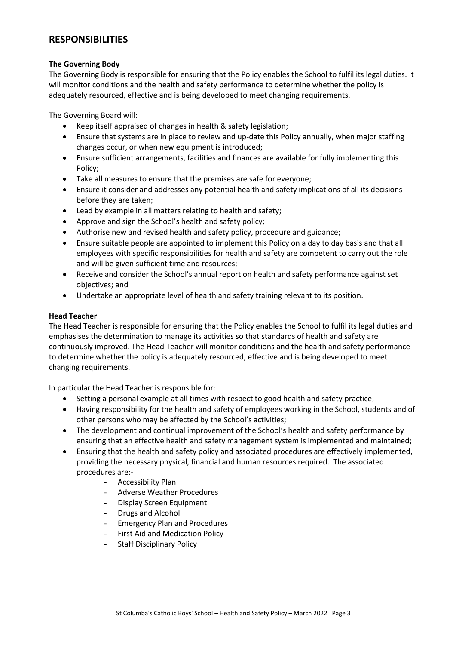# **RESPONSIBILITIES**

## **The Governing Body**

The Governing Body is responsible for ensuring that the Policy enables the School to fulfil its legal duties. It will monitor conditions and the health and safety performance to determine whether the policy is adequately resourced, effective and is being developed to meet changing requirements.

The Governing Board will:

- Keep itself appraised of changes in health & safety legislation;
- Ensure that systems are in place to review and up-date this Policy annually, when major staffing changes occur, or when new equipment is introduced;
- Ensure sufficient arrangements, facilities and finances are available for fully implementing this Policy;
- Take all measures to ensure that the premises are safe for everyone;
- Ensure it consider and addresses any potential health and safety implications of all its decisions before they are taken;
- Lead by example in all matters relating to health and safety;
- Approve and sign the School's health and safety policy;
- Authorise new and revised health and safety policy, procedure and guidance;
- Ensure suitable people are appointed to implement this Policy on a day to day basis and that all employees with specific responsibilities for health and safety are competent to carry out the role and will be given sufficient time and resources;
- Receive and consider the School's annual report on health and safety performance against set objectives; and
- Undertake an appropriate level of health and safety training relevant to its position.

# **Head Teacher**

The Head Teacher is responsible for ensuring that the Policy enables the School to fulfil its legal duties and emphasises the determination to manage its activities so that standards of health and safety are continuously improved. The Head Teacher will monitor conditions and the health and safety performance to determine whether the policy is adequately resourced, effective and is being developed to meet changing requirements.

In particular the Head Teacher is responsible for:

- Setting a personal example at all times with respect to good health and safety practice;
- Having responsibility for the health and safety of employees working in the School, students and of other persons who may be affected by the School's activities;
- The development and continual improvement of the School's health and safety performance by ensuring that an effective health and safety management system is implemented and maintained;
- Ensuring that the health and safety policy and associated procedures are effectively implemented, providing the necessary physical, financial and human resources required. The associated procedures are:-
	- Accessibility Plan
	- Adverse Weather Procedures
	- Display Screen Equipment
	- Drugs and Alcohol
	- Emergency Plan and Procedures
	- First Aid and Medication Policy
	- Staff Disciplinary Policy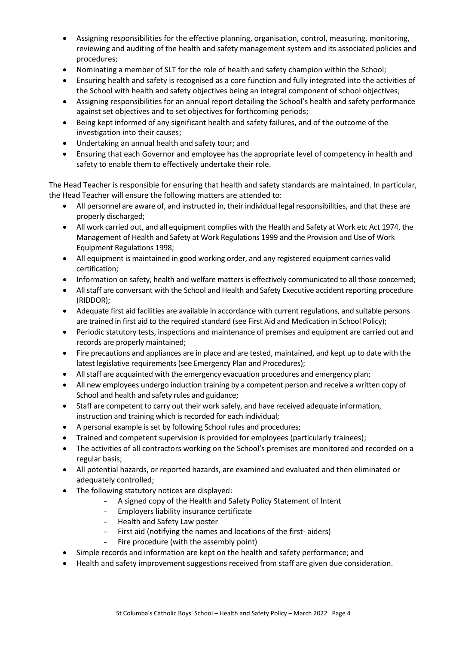- Assigning responsibilities for the effective planning, organisation, control, measuring, monitoring, reviewing and auditing of the health and safety management system and its associated policies and procedures;
- Nominating a member of SLT for the role of health and safety champion within the School;
- Ensuring health and safety is recognised as a core function and fully integrated into the activities of the School with health and safety objectives being an integral component of school objectives;
- Assigning responsibilities for an annual report detailing the School's health and safety performance against set objectives and to set objectives for forthcoming periods;
- Being kept informed of any significant health and safety failures, and of the outcome of the investigation into their causes;
- Undertaking an annual health and safety tour; and
- Ensuring that each Governor and employee has the appropriate level of competency in health and safety to enable them to effectively undertake their role.

The Head Teacher is responsible for ensuring that health and safety standards are maintained. In particular, the Head Teacher will ensure the following matters are attended to:

- All personnel are aware of, and instructed in, their individual legal responsibilities, and that these are properly discharged;
- All work carried out, and all equipment complies with the Health and Safety at Work etc Act 1974, the Management of Health and Safety at Work Regulations 1999 and the Provision and Use of Work Equipment Regulations 1998;
- All equipment is maintained in good working order, and any registered equipment carries valid certification;
- Information on safety, health and welfare matters is effectively communicated to all those concerned;
- All staff are conversant with the School and Health and Safety Executive accident reporting procedure (RIDDOR);
- Adequate first aid facilities are available in accordance with current regulations, and suitable persons are trained in first aid to the required standard (see First Aid and Medication in School Policy);
- Periodic statutory tests, inspections and maintenance of premises and equipment are carried out and records are properly maintained;
- Fire precautions and appliances are in place and are tested, maintained, and kept up to date with the latest legislative requirements (see Emergency Plan and Procedures);
- All staff are acquainted with the emergency evacuation procedures and emergency plan;
- All new employees undergo induction training by a competent person and receive a written copy of School and health and safety rules and guidance;
- Staff are competent to carry out their work safely, and have received adequate information, instruction and training which is recorded for each individual;
- A personal example is set by following School rules and procedures;
- Trained and competent supervision is provided for employees (particularly trainees);
- The activities of all contractors working on the School's premises are monitored and recorded on a regular basis;
- All potential hazards, or reported hazards, are examined and evaluated and then eliminated or adequately controlled;
- The following statutory notices are displayed:
	- A signed copy of the Health and Safety Policy Statement of Intent
	- Employers liability insurance certificate
	- Health and Safety Law poster
	- First aid (notifying the names and locations of the first- aiders)
	- Fire procedure (with the assembly point)
- Simple records and information are kept on the health and safety performance; and
- Health and safety improvement suggestions received from staff are given due consideration.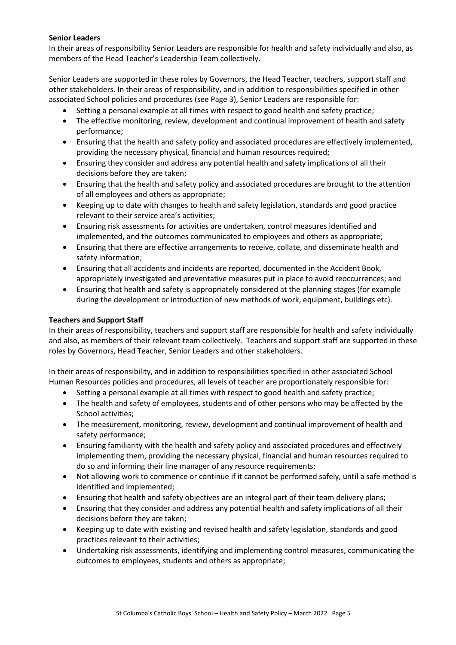## **Senior Leaders**

In their areas of responsibility Senior Leaders are responsible for health and safety individually and also, as members of the Head Teacher's Leadership Team collectively.

Senior Leaders are supported in these roles by Governors, the Head Teacher, teachers, support staff and other stakeholders. In their areas of responsibility, and in addition to responsibilities specified in other associated School policies and procedures (see Page 3), Senior Leaders are responsible for:

- Setting a personal example at all times with respect to good health and safety practice;
- The effective monitoring, review, development and continual improvement of health and safety performance;
- Ensuring that the health and safety policy and associated procedures are effectively implemented, providing the necessary physical, financial and human resources required;
- Ensuring they consider and address any potential health and safety implications of all their decisions before they are taken;
- Ensuring that the health and safety policy and associated procedures are brought to the attention of all employees and others as appropriate;
- Keeping up to date with changes to health and safety legislation, standards and good practice relevant to their service area's activities;
- Ensuring risk assessments for activities are undertaken, control measures identified and implemented, and the outcomes communicated to employees and others as appropriate;
- Ensuring that there are effective arrangements to receive, collate, and disseminate health and safety information;
- Ensuring that all accidents and incidents are reported, documented in the Accident Book, appropriately investigated and preventative measures put in place to avoid reoccurrences; and
- Ensuring that health and safety is appropriately considered at the planning stages (for example during the development or introduction of new methods of work, equipment, buildings etc).

# **Teachers and Support Staff**

In their areas of responsibility, teachers and support staff are responsible for health and safety individually and also, as members of their relevant team collectively. Teachers and support staff are supported in these roles by Governors, Head Teacher, Senior Leaders and other stakeholders.

In their areas of responsibility, and in addition to responsibilities specified in other associated School Human Resources policies and procedures, all levels of teacher are proportionately responsible for:

- Setting a personal example at all times with respect to good health and safety practice;
- The health and safety of employees, students and of other persons who may be affected by the School activities;
- The measurement, monitoring, review, development and continual improvement of health and safety performance;
- Ensuring familiarity with the health and safety policy and associated procedures and effectively implementing them, providing the necessary physical, financial and human resources required to do so and informing their line manager of any resource requirements;
- Not allowing work to commence or continue if it cannot be performed safely, until a safe method is identified and implemented;
- Ensuring that health and safety objectives are an integral part of their team delivery plans;
- Ensuring that they consider and address any potential health and safety implications of all their decisions before they are taken;
- Keeping up to date with existing and revised health and safety legislation, standards and good practices relevant to their activities;
- Undertaking risk assessments, identifying and implementing control measures, communicating the outcomes to employees, students and others as appropriate;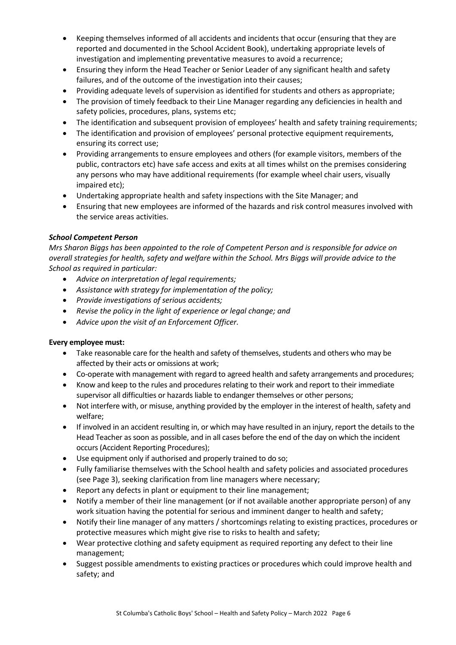- Keeping themselves informed of all accidents and incidents that occur (ensuring that they are reported and documented in the School Accident Book), undertaking appropriate levels of investigation and implementing preventative measures to avoid a recurrence;
- Ensuring they inform the Head Teacher or Senior Leader of any significant health and safety failures, and of the outcome of the investigation into their causes;
- Providing adequate levels of supervision as identified for students and others as appropriate;
- The provision of timely feedback to their Line Manager regarding any deficiencies in health and safety policies, procedures, plans, systems etc;
- The identification and subsequent provision of employees' health and safety training requirements;
- The identification and provision of employees' personal protective equipment requirements, ensuring its correct use;
- Providing arrangements to ensure employees and others (for example visitors, members of the public, contractors etc) have safe access and exits at all times whilst on the premises considering any persons who may have additional requirements (for example wheel chair users, visually impaired etc);
- Undertaking appropriate health and safety inspections with the Site Manager; and
- Ensuring that new employees are informed of the hazards and risk control measures involved with the service areas activities.

# *School Competent Person*

*Mrs Sharon Biggs has been appointed to the role of Competent Person and is responsible for advice on overall strategies for health, safety and welfare within the School. Mrs Biggs will provide advice to the School as required in particular:*

- *Advice on interpretation of legal requirements;*
- *Assistance with strategy for implementation of the policy;*
- *Provide investigations of serious accidents;*
- *Revise the policy in the light of experience or legal change; and*
- *Advice upon the visit of an Enforcement Officer.*

# **Every employee must:**

- Take reasonable care for the health and safety of themselves, students and others who may be affected by their acts or omissions at work;
- Co-operate with management with regard to agreed health and safety arrangements and procedures;
- Know and keep to the rules and procedures relating to their work and report to their immediate supervisor all difficulties or hazards liable to endanger themselves or other persons;
- Not interfere with, or misuse, anything provided by the employer in the interest of health, safety and welfare;
- If involved in an accident resulting in, or which may have resulted in an injury, report the details to the Head Teacher as soon as possible, and in all cases before the end of the day on which the incident occurs (Accident Reporting Procedures);
- Use equipment only if authorised and properly trained to do so;
- Fully familiarise themselves with the School health and safety policies and associated procedures (see Page 3), seeking clarification from line managers where necessary;
- Report any defects in plant or equipment to their line management;
- Notify a member of their line management (or if not available another appropriate person) of any work situation having the potential for serious and imminent danger to health and safety;
- Notify their line manager of any matters / shortcomings relating to existing practices, procedures or protective measures which might give rise to risks to health and safety;
- Wear protective clothing and safety equipment as required reporting any defect to their line management;
- Suggest possible amendments to existing practices or procedures which could improve health and safety; and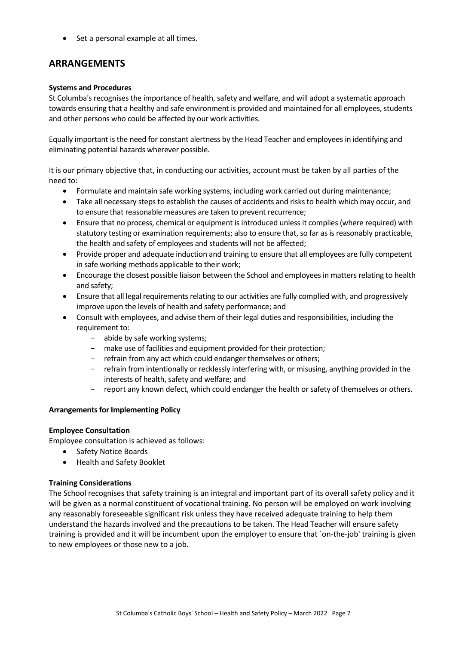Set a personal example at all times.

# **ARRANGEMENTS**

#### **Systems and Procedures**

St Columba's recognises the importance of health, safety and welfare, and will adopt a systematic approach towards ensuring that a healthy and safe environment is provided and maintained for all employees, students and other persons who could be affected by our work activities.

Equally important is the need for constant alertness by the Head Teacher and employees in identifying and eliminating potential hazards wherever possible.

It is our primary objective that, in conducting our activities, account must be taken by all parties of the need to:

- Formulate and maintain safe working systems, including work carried out during maintenance;
- Take all necessary steps to establish the causes of accidents and risks to health which may occur, and to ensure that reasonable measures are taken to prevent recurrence;
- Ensure that no process, chemical or equipment is introduced unless it complies (where required) with statutory testing or examination requirements; also to ensure that, so far as is reasonably practicable, the health and safety of employees and students will not be affected;
- Provide proper and adequate induction and training to ensure that all employees are fully competent in safe working methods applicable to their work;
- Encourage the closest possible liaison between the School and employees in matters relating to health and safety;
- Ensure that all legal requirements relating to our activities are fully complied with, and progressively improve upon the levels of health and safety performance; and
- Consult with employees, and advise them of their legal duties and responsibilities, including the requirement to:
	- abide by safe working systems;
	- make use of facilities and equipment provided for their protection;
	- refrain from any act which could endanger themselves or others;
	- refrain from intentionally or recklessly interfering with, or misusing, anything provided in the interests of health, safety and welfare; and
	- report any known defect, which could endanger the health or safety of themselves or others.

#### **Arrangements for Implementing Policy**

#### **Employee Consultation**

Employee consultation is achieved as follows:

- Safety Notice Boards
- Health and Safety Booklet

#### **Training Considerations**

The School recognises that safety training is an integral and important part of its overall safety policy and it will be given as a normal constituent of vocational training. No person will be employed on work involving any reasonably foreseeable significant risk unless they have received adequate training to help them understand the hazards involved and the precautions to be taken. The Head Teacher will ensure safety training is provided and it will be incumbent upon the employer to ensure that `on-the-job' training is given to new employees or those new to a job.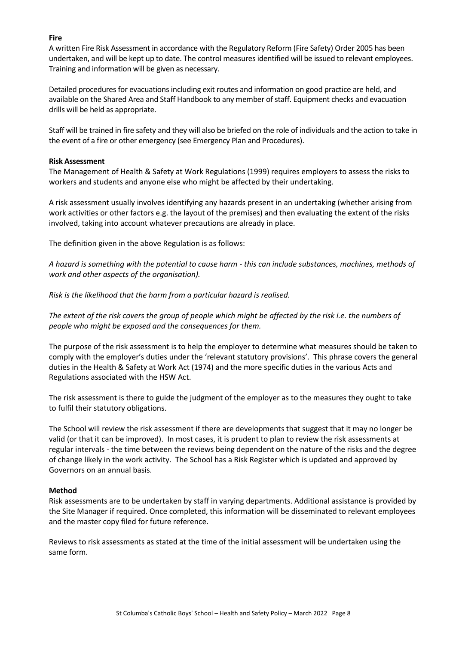## **Fire**

A written Fire Risk Assessment in accordance with the Regulatory Reform (Fire Safety) Order 2005 has been undertaken, and will be kept up to date. The control measures identified will be issued to relevant employees. Training and information will be given as necessary.

Detailed procedures for evacuations including exit routes and information on good practice are held, and available on the Shared Area and Staff Handbook to any member of staff. Equipment checks and evacuation drills will be held as appropriate.

Staff will be trained in fire safety and they will also be briefed on the role of individuals and the action to take in the event of a fire or other emergency (see Emergency Plan and Procedures).

#### **Risk Assessment**

The Management of Health & Safety at Work Regulations (1999) requires employers to assess the risks to workers and students and anyone else who might be affected by their undertaking.

A risk assessment usually involves identifying any hazards present in an undertaking (whether arising from work activities or other factors e.g. the layout of the premises) and then evaluating the extent of the risks involved, taking into account whatever precautions are already in place.

The definition given in the above Regulation is as follows:

*A hazard is something with the potential to cause harm - this can include substances, machines, methods of work and other aspects of the organisation).*

*Risk is the likelihood that the harm from a particular hazard is realised.*

*The extent of the risk covers the group of people which might be affected by the risk i.e. the numbers of people who might be exposed and the consequences for them.*

The purpose of the risk assessment is to help the employer to determine what measures should be taken to comply with the employer's duties under the 'relevant statutory provisions'. This phrase covers the general duties in the Health & Safety at Work Act (1974) and the more specific duties in the various Acts and Regulations associated with the HSW Act.

The risk assessment is there to guide the judgment of the employer as to the measures they ought to take to fulfil their statutory obligations.

The School will review the risk assessment if there are developments that suggest that it may no longer be valid (or that it can be improved). In most cases, it is prudent to plan to review the risk assessments at regular intervals - the time between the reviews being dependent on the nature of the risks and the degree of change likely in the work activity. The School has a Risk Register which is updated and approved by Governors on an annual basis.

# **Method**

Risk assessments are to be undertaken by staff in varying departments. Additional assistance is provided by the Site Manager if required. Once completed, this information will be disseminated to relevant employees and the master copy filed for future reference.

Reviews to risk assessments as stated at the time of the initial assessment will be undertaken using the same form.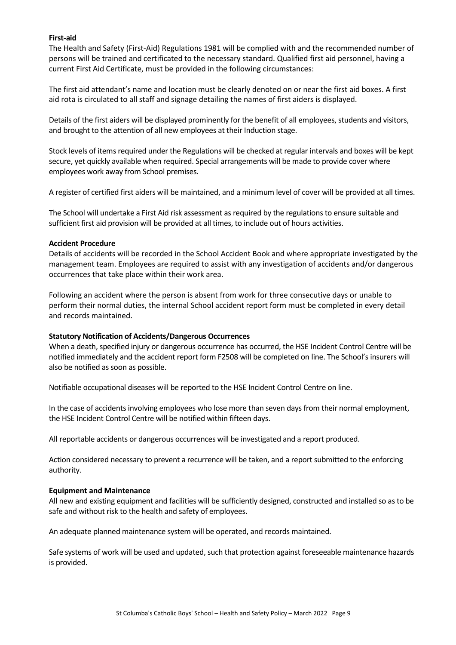## **First-aid**

The Health and Safety (First-Aid) Regulations 1981 will be complied with and the recommended number of persons will be trained and certificated to the necessary standard. Qualified first aid personnel, having a current First Aid Certificate, must be provided in the following circumstances:

The first aid attendant's name and location must be clearly denoted on or near the first aid boxes. A first aid rota is circulated to all staff and signage detailing the names of first aiders is displayed.

Details of the first aiders will be displayed prominently for the benefit of all employees, students and visitors, and brought to the attention of all new employees at their Induction stage.

Stock levels of items required under the Regulations will be checked at regular intervals and boxes will be kept secure, yet quickly available when required. Special arrangements will be made to provide cover where employees work away from School premises.

A register of certified first aiders will be maintained, and a minimum level of cover will be provided at all times.

The School will undertake a First Aid risk assessment as required by the regulations to ensure suitable and sufficient first aid provision will be provided at all times, to include out of hours activities.

#### **Accident Procedure**

Details of accidents will be recorded in the School Accident Book and where appropriate investigated by the management team. Employees are required to assist with any investigation of accidents and/or dangerous occurrences that take place within their work area.

Following an accident where the person is absent from work for three consecutive days or unable to perform their normal duties, the internal School accident report form must be completed in every detail and records maintained.

#### **Statutory Notification of Accidents/Dangerous Occurrences**

When a death, specified injury or dangerous occurrence has occurred, the HSE Incident Control Centre will be notified immediately and the accident report form F2508 will be completed on line. The School's insurers will also be notified as soon as possible.

Notifiable occupational diseases will be reported to the HSE Incident Control Centre on line.

In the case of accidents involving employees who lose more than seven days from their normal employment, the HSE Incident Control Centre will be notified within fifteen days.

All reportable accidents or dangerous occurrences will be investigated and a report produced.

Action considered necessary to prevent a recurrence will be taken, and a report submitted to the enforcing authority.

#### **Equipment and Maintenance**

All new and existing equipment and facilities will be sufficiently designed, constructed and installed so as to be safe and without risk to the health and safety of employees.

An adequate planned maintenance system will be operated, and records maintained.

Safe systems of work will be used and updated, such that protection against foreseeable maintenance hazards is provided.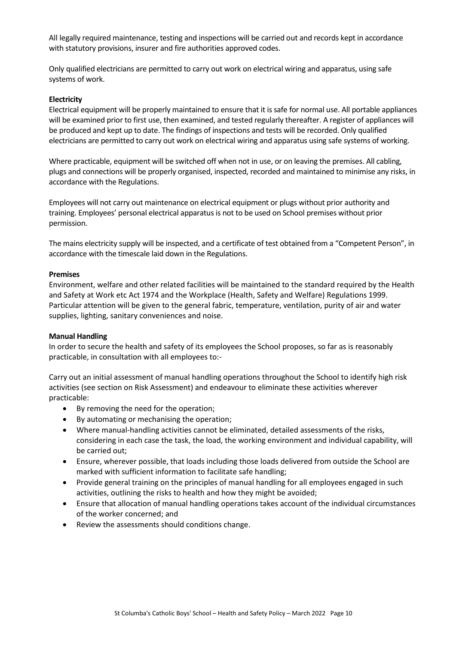All legally required maintenance, testing and inspections will be carried out and records kept in accordance with statutory provisions, insurer and fire authorities approved codes.

Only qualified electricians are permitted to carry out work on electrical wiring and apparatus, using safe systems of work.

#### **Electricity**

Electrical equipment will be properly maintained to ensure that it is safe for normal use. All portable appliances will be examined prior to first use, then examined, and tested regularly thereafter. A register of appliances will be produced and kept up to date. The findings of inspections and tests will be recorded. Only qualified electricians are permitted to carry out work on electrical wiring and apparatus using safe systems of working.

Where practicable, equipment will be switched off when not in use, or on leaving the premises. All cabling, plugs and connections will be properly organised, inspected, recorded and maintained to minimise any risks, in accordance with the Regulations.

Employees will not carry out maintenance on electrical equipment or plugs without prior authority and training. Employees' personal electrical apparatus is not to be used on School premises without prior permission.

The mains electricity supply will be inspected, and a certificate of test obtained from a "Competent Person", in accordance with the timescale laid down in the Regulations.

#### **Premises**

Environment, welfare and other related facilities will be maintained to the standard required by the Health and Safety at Work etc Act 1974 and the Workplace (Health, Safety and Welfare) Regulations 1999. Particular attention will be given to the general fabric, temperature, ventilation, purity of air and water supplies, lighting, sanitary conveniences and noise.

#### **Manual Handling**

In order to secure the health and safety of its employees the School proposes, so far as is reasonably practicable, in consultation with all employees to:-

Carry out an initial assessment of manual handling operations throughout the School to identify high risk activities (see section on Risk Assessment) and endeavour to eliminate these activities wherever practicable:

- By removing the need for the operation;
- By automating or mechanising the operation;
- Where manual-handling activities cannot be eliminated, detailed assessments of the risks, considering in each case the task, the load, the working environment and individual capability, will be carried out;
- Ensure, wherever possible, that loads including those loads delivered from outside the School are marked with sufficient information to facilitate safe handling;
- Provide general training on the principles of manual handling for all employees engaged in such activities, outlining the risks to health and how they might be avoided;
- Ensure that allocation of manual handling operations takes account of the individual circumstances of the worker concerned; and
- Review the assessments should conditions change.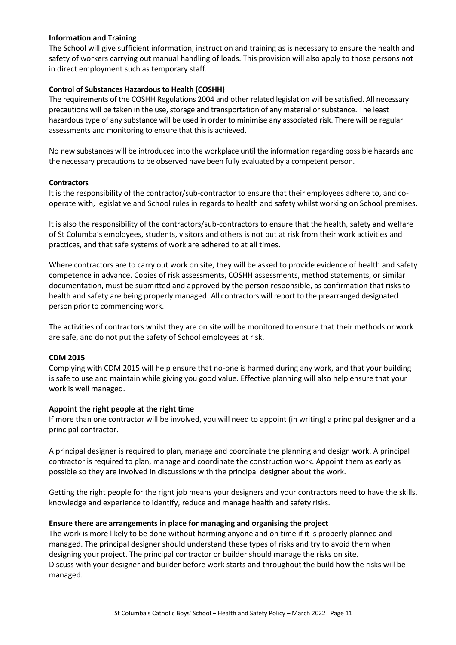## **Information and Training**

The School will give sufficient information, instruction and training as is necessary to ensure the health and safety of workers carrying out manual handling of loads. This provision will also apply to those persons not in direct employment such as temporary staff.

# **Control of Substances Hazardous to Health (COSHH)**

The requirements of the COSHH Regulations 2004 and other related legislation will be satisfied. All necessary precautions will be taken in the use, storage and transportation of any material or substance. The least hazardous type of any substance will be used in order to minimise any associated risk. There will be regular assessments and monitoring to ensure that this is achieved.

No new substances will be introduced into the workplace until the information regarding possible hazards and the necessary precautions to be observed have been fully evaluated by a competent person.

#### **Contractors**

It is the responsibility of the contractor/sub-contractor to ensure that their employees adhere to, and cooperate with, legislative and School rules in regards to health and safety whilst working on School premises.

It is also the responsibility of the contractors/sub-contractors to ensure that the health, safety and welfare of St Columba's employees, students, visitors and others is not put at risk from their work activities and practices, and that safe systems of work are adhered to at all times.

Where contractors are to carry out work on site, they will be asked to provide evidence of health and safety competence in advance. Copies of risk assessments, COSHH assessments, method statements, or similar documentation, must be submitted and approved by the person responsible, as confirmation that risks to health and safety are being properly managed. All contractors will report to the prearranged designated person prior to commencing work.

The activities of contractors whilst they are on site will be monitored to ensure that their methods or work are safe, and do not put the safety of School employees at risk.

#### **CDM 2015**

Complying with CDM 2015 will help ensure that no-one is harmed during any work, and that your building is safe to use and maintain while giving you good value. Effective planning will also help ensure that your work is well managed.

#### **Appoint the right people at the right time**

If more than one contractor will be involved, you will need to appoint (in writing) a principal designer and a principal contractor.

A principal designer is required to plan, manage and coordinate the planning and design work. A principal contractor is required to plan, manage and coordinate the construction work. Appoint them as early as possible so they are involved in discussions with the principal designer about the work.

Getting the right people for the right job means your designers and your contractors need to have the skills, knowledge and experience to identify, reduce and manage health and safety risks.

#### **Ensure there are arrangements in place for managing and organising the project**

The work is more likely to be done without harming anyone and on time if it is properly planned and managed. The principal designer should understand these types of risks and try to avoid them when designing your project. The principal contractor or builder should manage the risks on site. Discuss with your designer and builder before work starts and throughout the build how the risks will be managed.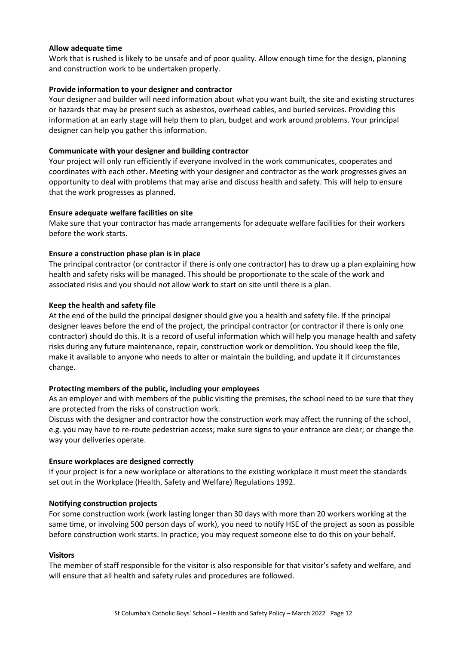#### **Allow adequate time**

Work that is rushed is likely to be unsafe and of poor quality. Allow enough time for the design, planning and construction work to be undertaken properly.

#### **Provide information to your designer and contractor**

Your designer and builder will need information about what you want built, the site and existing structures or hazards that may be present such as asbestos, overhead cables, and buried services. Providing this information at an early stage will help them to plan, budget and work around problems. Your principal designer can help you gather this information.

#### **Communicate with your designer and building contractor**

Your project will only run efficiently if everyone involved in the work communicates, cooperates and coordinates with each other. Meeting with your designer and contractor as the work progresses gives an opportunity to deal with problems that may arise and discuss health and safety. This will help to ensure that the work progresses as planned.

#### **Ensure adequate welfare facilities on site**

Make sure that your contractor has made arrangements for adequate welfare facilities for their workers before the work starts.

#### **Ensure a construction phase plan is in place**

The principal contractor (or contractor if there is only one contractor) has to draw up a plan explaining how health and safety risks will be managed. This should be proportionate to the scale of the work and associated risks and you should not allow work to start on site until there is a plan.

#### **Keep the health and safety file**

At the end of the build the principal designer should give you a health and safety file. If the principal designer leaves before the end of the project, the principal contractor (or contractor if there is only one contractor) should do this. It is a record of useful information which will help you manage health and safety risks during any future maintenance, repair, construction work or demolition. You should keep the file, make it available to anyone who needs to alter or maintain the building, and update it if circumstances change.

#### **Protecting members of the public, including your employees**

As an employer and with members of the public visiting the premises, the school need to be sure that they are protected from the risks of construction work.

Discuss with the designer and contractor how the construction work may affect the running of the school, e.g. you may have to re-route pedestrian access; make sure signs to your entrance are clear; or change the way your deliveries operate.

#### **Ensure workplaces are designed correctly**

If your project is for a new workplace or alterations to the existing workplace it must meet the standards set out in the Workplace (Health, Safety and Welfare) Regulations 1992.

#### **Notifying construction projects**

For some construction work (work lasting longer than 30 days with more than 20 workers working at the same time, or involving 500 person days of work), you need to notify HSE of the project as soon as possible before construction work starts. In practice, you may request someone else to do this on your behalf.

#### **Visitors**

The member of staff responsible for the visitor is also responsible for that visitor's safety and welfare, and will ensure that all health and safety rules and procedures are followed.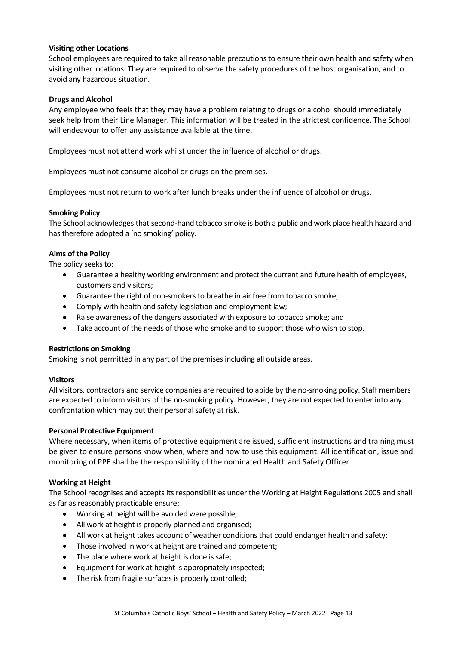## **Visiting other Locations**

School employees are required to take all reasonable precautions to ensure their own health and safety when visiting other locations. They are required to observe the safety procedures of the host organisation, and to avoid any hazardous situation.

## **Drugs and Alcohol**

Any employee who feels that they may have a problem relating to drugs or alcohol should immediately seek help from their Line Manager. This information will be treated in the strictest confidence. The School will endeavour to offer any assistance available at the time.

Employees must not attend work whilst under the influence of alcohol or drugs.

Employees must not consume alcohol or drugs on the premises.

Employees must not return to work after lunch breaks under the influence of alcohol or drugs.

# **Smoking Policy**

The School acknowledges that second-hand tobacco smoke is both a public and work place health hazard and has therefore adopted a 'no smoking' policy.

# **Aims of the Policy**

The policy seeks to:

- Guarantee a healthy working environment and protect the current and future health of employees, customers and visitors;
- Guarantee the right of non-smokers to breathe in air free from tobacco smoke;
- Comply with health and safety legislation and employment law;
- Raise awareness of the dangers associated with exposure to tobacco smoke; and
- Take account of the needs of those who smoke and to support those who wish to stop.

#### **Restrictions on Smoking**

Smoking is not permitted in any part of the premises including all outside areas.

#### **Visitors**

All visitors, contractors and service companies are required to abide by the no-smoking policy. Staff members are expected to inform visitors of the no-smoking policy. However, they are not expected to enter into any confrontation which may put their personal safety at risk.

#### **Personal Protective Equipment**

Where necessary, when items of protective equipment are issued, sufficient instructions and training must be given to ensure persons know when, where and how to use this equipment. All identification, issue and monitoring of PPE shall be the responsibility of the nominated Health and Safety Officer.

#### **Working at Height**

The School recognises and accepts its responsibilities under the Working at Height Regulations 2005 and shall as far as reasonably practicable ensure:

- Working at height will be avoided were possible;
- All work at height is properly planned and organised;
- All work at height takes account of weather conditions that could endanger health and safety;
- Those involved in work at height are trained and competent;
- The place where work at height is done is safe;
- Equipment for work at height is appropriately inspected;
- The risk from fragile surfaces is properly controlled;